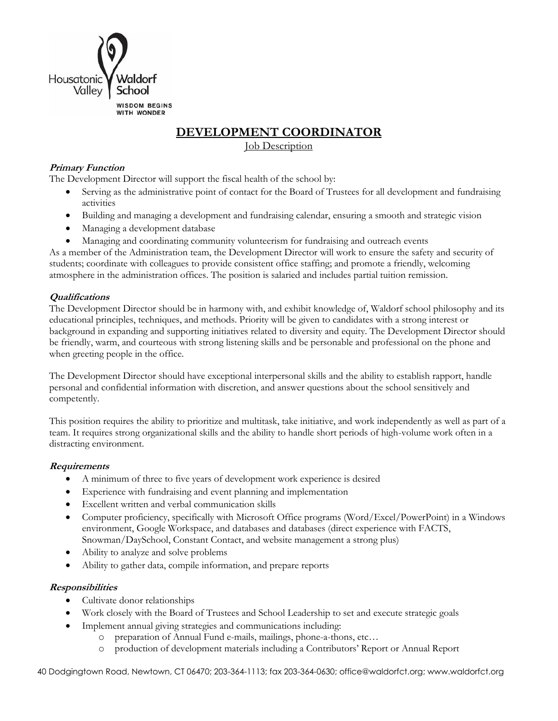

# **DEVELOPMENT COORDINATOR**

Job Description

## **Primary Function**

The Development Director will support the fiscal health of the school by:

- Serving as the administrative point of contact for the Board of Trustees for all development and fundraising activities
- Building and managing a development and fundraising calendar, ensuring a smooth and strategic vision
- Managing a development database
- Managing and coordinating community volunteerism for fundraising and outreach events

As a member of the Administration team, the Development Director will work to ensure the safety and security of students; coordinate with colleagues to provide consistent office staffing; and promote a friendly, welcoming atmosphere in the administration offices. The position is salaried and includes partial tuition remission.

#### **Qualifications**

The Development Director should be in harmony with, and exhibit knowledge of, Waldorf school philosophy and its educational principles, techniques, and methods. Priority will be given to candidates with a strong interest or background in expanding and supporting initiatives related to diversity and equity. The Development Director should be friendly, warm, and courteous with strong listening skills and be personable and professional on the phone and when greeting people in the office.

The Development Director should have exceptional interpersonal skills and the ability to establish rapport, handle personal and confidential information with discretion, and answer questions about the school sensitively and competently.

This position requires the ability to prioritize and multitask, take initiative, and work independently as well as part of a team. It requires strong organizational skills and the ability to handle short periods of high-volume work often in a distracting environment.

## **Requirements**

- A minimum of three to five years of development work experience is desired
- Experience with fundraising and event planning and implementation
- Excellent written and verbal communication skills
- Computer proficiency, specifically with Microsoft Office programs (Word/Excel/PowerPoint) in a Windows environment, Google Workspace, and databases and databases (direct experience with FACTS, Snowman/DaySchool, Constant Contact, and website management a strong plus)
- Ability to analyze and solve problems
- Ability to gather data, compile information, and prepare reports

#### **Responsibilities**

- Cultivate donor relationships
- Work closely with the Board of Trustees and School Leadership to set and execute strategic goals
- Implement annual giving strategies and communications including:
	- o preparation of Annual Fund e-mails, mailings, phone-a-thons, etc…
	- o production of development materials including a Contributors' Report or Annual Report

40 Dodgingtown Road, Newtown, CT 06470; 203-364-1113; fax 203-364-0630; office@waldorfct.org; www.waldorfct.org